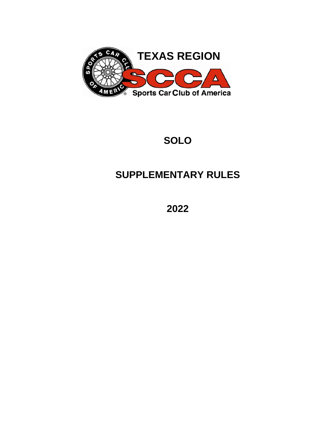

# **SOLO**

## **SUPPLEMENTARY RULES**

**2022**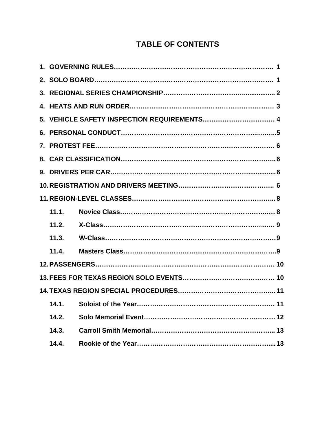## **TABLE OF CONTENTS**

|  | 5. VEHICLE SAFETY INSPECTION REQUIREMENTS 4 |  |  |  |  |  |
|--|---------------------------------------------|--|--|--|--|--|
|  |                                             |  |  |  |  |  |
|  |                                             |  |  |  |  |  |
|  |                                             |  |  |  |  |  |
|  |                                             |  |  |  |  |  |
|  |                                             |  |  |  |  |  |
|  |                                             |  |  |  |  |  |
|  | 11.1.                                       |  |  |  |  |  |
|  | 11.2.                                       |  |  |  |  |  |
|  | 11.3.                                       |  |  |  |  |  |
|  | 11.4.                                       |  |  |  |  |  |
|  |                                             |  |  |  |  |  |
|  |                                             |  |  |  |  |  |
|  |                                             |  |  |  |  |  |
|  | 14.1.                                       |  |  |  |  |  |
|  | 14.2.                                       |  |  |  |  |  |
|  | 14.3.                                       |  |  |  |  |  |
|  | 14.4.                                       |  |  |  |  |  |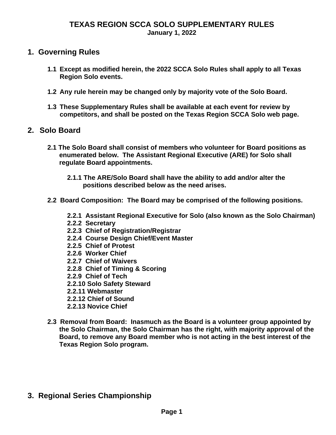## **1. Governing Rules**

- **1.1 Except as modified herein, the 2022 SCCA Solo Rules shall apply to all Texas Region Solo events.**
- **1.2 Any rule herein may be changed only by majority vote of the Solo Board.**
- **1.3 These Supplementary Rules shall be available at each event for review by competitors, and shall be posted on the Texas Region SCCA Solo web page.**

## **2. Solo Board**

- **2.1 The Solo Board shall consist of members who volunteer for Board positions as enumerated below. The Assistant Regional Executive (ARE) for Solo shall regulate Board appointments.** 
	- **2.1.1 The ARE/Solo Board shall have the ability to add and/or alter the positions described below as the need arises.**
- **2.2 Board Composition: The Board may be comprised of the following positions.** 
	- **2.2.1 Assistant Regional Executive for Solo (also known as the Solo Chairman)**
	- **2.2.2 Secretary**
	- **2.2.3 Chief of Registration/Registrar**
	- **2.2.4 Course Design Chief/Event Master**
	- **2.2.5 Chief of Protest**
	- **2.2.6 Worker Chief**
	- **2.2.7 Chief of Waivers**
	- **2.2.8 Chief of Timing & Scoring**
	- **2.2.9 Chief of Tech**
	- **2.2.10 Solo Safety Steward**
	- **2.2.11 Webmaster**
	- **2.2.12 Chief of Sound**
	- **2.2.13 Novice Chief**
- **2.3 Removal from Board: Inasmuch as the Board is a volunteer group appointed by the Solo Chairman, the Solo Chairman has the right, with majority approval of the Board, to remove any Board member who is not acting in the best interest of the Texas Region Solo program.**
- **3. Regional Series Championship**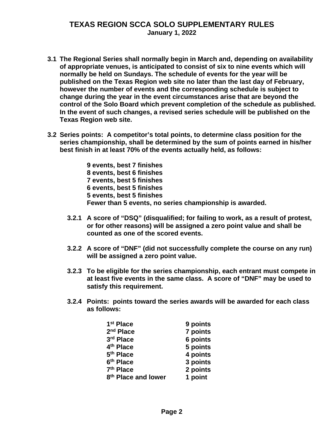- **3.1 The Regional Series shall normally begin in March and, depending on availability of appropriate venues, is anticipated to consist of six to nine events which will normally be held on Sundays. The schedule of events for the year will be published on the Texas Region web site no later than the last day of February, however the number of events and the corresponding schedule is subject to change during the year in the event circumstances arise that are beyond the control of the Solo Board which prevent completion of the schedule as published. In the event of such changes, a revised series schedule will be published on the Texas Region web site.**
- **3.2 Series points: A competitor's total points, to determine class position for the series championship, shall be determined by the sum of points earned in his/her best finish in at least 70% of the events actually held, as follows:**

**9 events, best 7 finishes 8 events, best 6 finishes 7 events, best 5 finishes 6 events, best 5 finishes 5 events, best 5 finishes Fewer than 5 events, no series championship is awarded.** 

- **3.2.1 A score of "DSQ" (disqualified; for failing to work, as a result of protest, or for other reasons) will be assigned a zero point value and shall be counted as one of the scored events.**
- **3.2.2 A score of "DNF" (did not successfully complete the course on any run) will be assigned a zero point value.**
- **3.2.3 To be eligible for the series championship, each entrant must compete in at least five events in the same class. A score of "DNF" may be used to satisfy this requirement.**
- **3.2.4 Points: points toward the series awards will be awarded for each class as follows:**

| 1 <sup>st</sup> Place           | 9 points |
|---------------------------------|----------|
| 2 <sup>nd</sup> Place           | 7 points |
| 3rd Place                       | 6 points |
| 4th Place                       | 5 points |
| 5th Place                       | 4 points |
| 6 <sup>th</sup> Place           | 3 points |
| 7th Place                       | 2 points |
| 8 <sup>th</sup> Place and lower | 1 point  |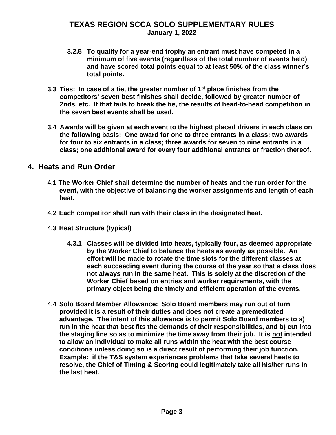- **3.2.5 To qualify for a year-end trophy an entrant must have competed in a minimum of five events (regardless of the total number of events held) and have scored total points equal to at least 50% of the class winner's total points.**
- **3.3 Ties: In case of a tie, the greater number of 1st place finishes from the competitors' seven best finishes shall decide, followed by greater number of 2nds, etc. If that fails to break the tie, the results of head-to-head competition in the seven best events shall be used.**
- **3.4 Awards will be given at each event to the highest placed drivers in each class on the following basis: One award for one to three entrants in a class; two awards for four to six entrants in a class; three awards for seven to nine entrants in a class; one additional award for every four additional entrants or fraction thereof.**

## **4. Heats and Run Order**

- **4.1 The Worker Chief shall determine the number of heats and the run order for the event, with the objective of balancing the worker assignments and length of each heat.**
- **4.2 Each competitor shall run with their class in the designated heat.**
- **4.3 Heat Structure (typical)** 
	- **4.3.1 Classes will be divided into heats, typically four, as deemed appropriate by the Worker Chief to balance the heats as evenly as possible. An effort will be made to rotate the time slots for the different classes at each succeeding event during the course of the year so that a class does not always run in the same heat. This is solely at the discretion of the Worker Chief based on entries and worker requirements, with the primary object being the timely and efficient operation of the events.**
- **4.4 Solo Board Member Allowance: Solo Board members may run out of turn provided it is a result of their duties and does not create a premeditated advantage. The intent of this allowance is to permit Solo Board members to a) run in the heat that best fits the demands of their responsibilities, and b) cut into the staging line so as to minimize the time away from their job. It is not intended to allow an individual to make all runs within the heat with the best course conditions unless doing so is a direct result of performing their job function. Example: if the T&S system experiences problems that take several heats to resolve, the Chief of Timing & Scoring could legitimately take all his/her runs in the last heat.**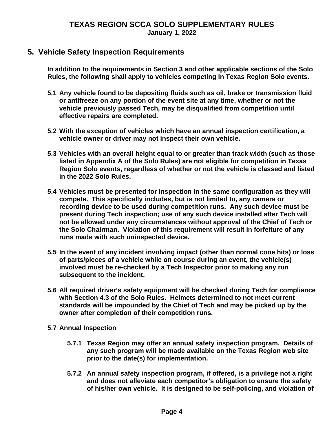## **5. Vehicle Safety Inspection Requirements**

**In addition to the requirements in Section 3 and other applicable sections of the Solo Rules, the following shall apply to vehicles competing in Texas Region Solo events.** 

- **5.1 Any vehicle found to be depositing fluids such as oil, brake or transmission fluid or antifreeze on any portion of the event site at any time, whether or not the vehicle previously passed Tech, may be disqualified from competition until effective repairs are completed.**
- **5.2 With the exception of vehicles which have an annual inspection certification, a vehicle owner or driver may not inspect their own vehicle.**
- **5.3 Vehicles with an overall height equal to or greater than track width (such as those listed in Appendix A of the Solo Rules) are not eligible for competition in Texas Region Solo events, regardless of whether or not the vehicle is classed and listed in the 2022 Solo Rules.**
- **5.4 Vehicles must be presented for inspection in the same configuration as they will compete. This specifically includes, but is not limited to, any camera or recording device to be used during competition runs. Any such device must be present during Tech inspection; use of any such device installed after Tech will not be allowed under any circumstances without approval of the Chief of Tech or the Solo Chairman. Violation of this requirement will result in forfeiture of any runs made with such uninspected device.**
- **5.5 In the event of any incident involving impact (other than normal cone hits) or loss of parts/pieces of a vehicle while on course during an event, the vehicle(s) involved must be re-checked by a Tech Inspector prior to making any run subsequent to the incident.**
- **5.6 All required driver's safety equipment will be checked during Tech for compliance with Section 4.3 of the Solo Rules. Helmets determined to not meet current standards will be impounded by the Chief of Tech and may be picked up by the owner after completion of their competition runs.**
- **5.7 Annual Inspection** 
	- **5.7.1 Texas Region may offer an annual safety inspection program. Details of any such program will be made available on the Texas Region web site prior to the date(s) for implementation.**
	- **5.7.2 An annual safety inspection program, if offered, is a privilege not a right and does not alleviate each competitor's obligation to ensure the safety of his/her own vehicle. It is designed to be self-policing, and violation of**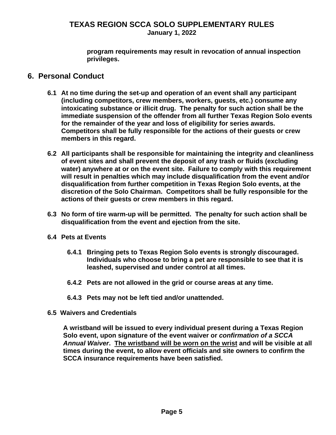**program requirements may result in revocation of annual inspection privileges.** 

## **6. Personal Conduct**

- **6.1 At no time during the set-up and operation of an event shall any participant (including competitors, crew members, workers, guests, etc.) consume any intoxicating substance or illicit drug. The penalty for such action shall be the immediate suspension of the offender from all further Texas Region Solo events for the remainder of the year and loss of eligibility for series awards. Competitors shall be fully responsible for the actions of their guests or crew members in this regard.**
- **6.2 All participants shall be responsible for maintaining the integrity and cleanliness of event sites and shall prevent the deposit of any trash or fluids (excluding water) anywhere at or on the event site. Failure to comply with this requirement will result in penalties which may include disqualification from the event and/or disqualification from further competition in Texas Region Solo events, at the discretion of the Solo Chairman. Competitors shall be fully responsible for the actions of their guests or crew members in this regard.**
- **6.3 No form of tire warm-up will be permitted. The penalty for such action shall be disqualification from the event and ejection from the site.**
- **6.4 Pets at Events** 
	- **6.4.1 Bringing pets to Texas Region Solo events is strongly discouraged. Individuals who choose to bring a pet are responsible to see that it is leashed, supervised and under control at all times.**
	- **6.4.2 Pets are not allowed in the grid or course areas at any time.**
	- **6.4.3 Pets may not be left tied and/or unattended.**
- **6.5 Waivers and Credentials**

**A wristband will be issued to every individual present during a Texas Region Solo event, upon signature of the event waiver or** *confirmation of a SCCA Annual Waiver***. The wristband will be worn on the wrist and will be visible at all times during the event, to allow event officials and site owners to confirm the SCCA insurance requirements have been satisfied.**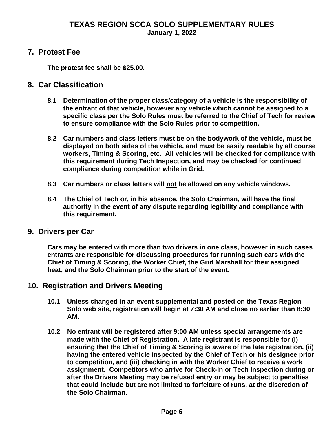## **7. Protest Fee**

**The protest fee shall be \$25.00.** 

## **8. Car Classification**

- **8.1 Determination of the proper class/category of a vehicle is the responsibility of the entrant of that vehicle, however any vehicle which cannot be assigned to a specific class per the Solo Rules must be referred to the Chief of Tech for review to ensure compliance with the Solo Rules prior to competition.**
- **8.2 Car numbers and class letters must be on the bodywork of the vehicle, must be displayed on both sides of the vehicle, and must be easily readable by all course workers, Timing & Scoring, etc. All vehicles will be checked for compliance with this requirement during Tech Inspection, and may be checked for continued compliance during competition while in Grid.**
- **8.3 Car numbers or class letters will not be allowed on any vehicle windows.**
- **8.4 The Chief of Tech or, in his absence, the Solo Chairman, will have the final authority in the event of any dispute regarding legibility and compliance with this requirement.**

#### **9. Drivers per Car**

**Cars may be entered with more than two drivers in one class, however in such cases entrants are responsible for discussing procedures for running such cars with the Chief of Timing & Scoring, the Worker Chief, the Grid Marshall for their assigned heat, and the Solo Chairman prior to the start of the event.** 

## **10. Registration and Drivers Meeting**

- **10.1 Unless changed in an event supplemental and posted on the Texas Region Solo web site, registration will begin at 7:30 AM and close no earlier than 8:30 AM.**
- **10.2 No entrant will be registered after 9:00 AM unless special arrangements are made with the Chief of Registration. A late registrant is responsible for (i) ensuring that the Chief of Timing & Scoring is aware of the late registration, (ii) having the entered vehicle inspected by the Chief of Tech or his designee prior to competition, and (iii) checking in with the Worker Chief to receive a work assignment. Competitors who arrive for Check-In or Tech Inspection during or after the Drivers Meeting may be refused entry or may be subject to penalties that could include but are not limited to forfeiture of runs, at the discretion of the Solo Chairman.**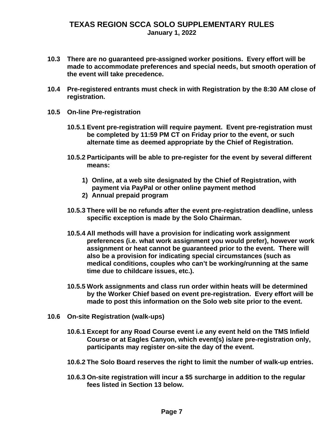- **10.3 There are no guaranteed pre-assigned worker positions. Every effort will be made to accommodate preferences and special needs, but smooth operation of the event will take precedence.**
- **10.4 Pre-registered entrants must check in with Registration by the 8:30 AM close of registration.**
- **10.5 On-line Pre-registration** 
	- **10.5.1 Event pre-registration will require payment. Event pre-registration must be completed by 11:59 PM CT on Friday prior to the event, or such alternate time as deemed appropriate by the Chief of Registration.**
	- **10.5.2 Participants will be able to pre-register for the event by several different means:** 
		- **1) Online, at a web site designated by the Chief of Registration, with payment via PayPal or other online payment method**
		- **2) Annual prepaid program**
	- **10.5.3 There will be no refunds after the event pre-registration deadline, unless specific exception is made by the Solo Chairman.**
	- **10.5.4 All methods will have a provision for indicating work assignment preferences (i.e. what work assignment you would prefer), however work assignment or heat cannot be guaranteed prior to the event. There will also be a provision for indicating special circumstances (such as medical conditions, couples who can't be working/running at the same time due to childcare issues, etc.).**
	- **10.5.5 Work assignments and class run order within heats will be determined by the Worker Chief based on event pre-registration. Every effort will be made to post this information on the Solo web site prior to the event.**
- **10.6 On-site Registration (walk-ups)** 
	- **10.6.1 Except for any Road Course event i.e any event held on the TMS Infield Course or at Eagles Canyon, which event(s) is/are pre-registration only, participants may register on-site the day of the event.**
	- **10.6.2 The Solo Board reserves the right to limit the number of walk-up entries.**
	- **10.6.3 On-site registration will incur a \$5 surcharge in addition to the regular fees listed in Section 13 below.**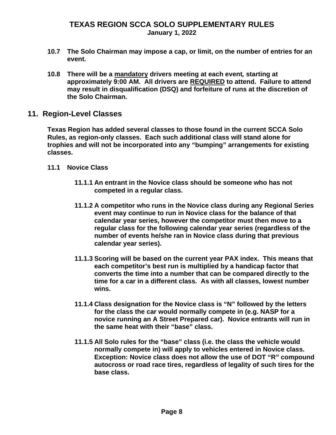- **10.7 The Solo Chairman may impose a cap, or limit, on the number of entries for an event.**
- **10.8 There will be a mandatory drivers meeting at each event***,* **starting at approximately 9:00 AM. All drivers are REQUIRED to attend. Failure to attend may result in disqualification (DSQ) and forfeiture of runs at the discretion of the Solo Chairman.**

#### **11. Region-Level Classes**

**Texas Region has added several classes to those found in the current SCCA Solo Rules, as region-only classes. Each such additional class will stand alone for trophies and will not be incorporated into any "bumping" arrangements for existing classes.** 

- **11.1 Novice Class** 
	- **11.1.1 An entrant in the Novice class should be someone who has not competed in a regular class.**
	- **11.1.2 A competitor who runs in the Novice class during any Regional Series event may continue to run in Novice class for the balance of that calendar year series, however the competitor must then move to a regular class for the following calendar year series (regardless of the number of events he/she ran in Novice class during that previous calendar year series).**
	- **11.1.3 Scoring will be based on the current year PAX index. This means that each competitor's best run is multiplied by a handicap factor that converts the time into a number that can be compared directly to the time for a car in a different class. As with all classes, lowest number wins.**
	- **11.1.4 Class designation for the Novice class is "N" followed by the letters for the class the car would normally compete in (e.g. NASP for a novice running an A Street Prepared car). Novice entrants will run in the same heat with their "base" class.**
	- **11.1.5 All Solo rules for the "base" class (i.e. the class the vehicle would normally compete in) will apply to vehicles entered in Novice class.** **Exception: Novice class does not allow the use of DOT "R" compound autocross or road race tires, regardless of legality of such tires for the base class.**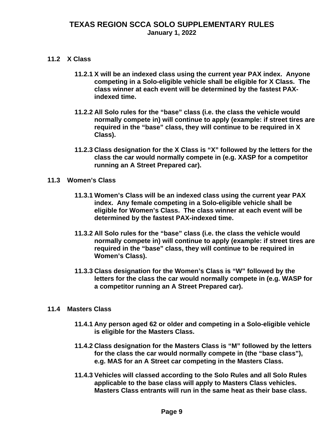#### **11.2 X Class**

- **11.2.1 X will be an indexed class using the current year PAX index. Anyone competing in a Solo-eligible vehicle shall be eligible for X Class. The class winner at each event will be determined by the fastest PAXindexed time.**
- **11.2.2 All Solo rules for the "base" class (i.e. the class the vehicle would normally compete in) will continue to apply (example: if street tires are required in the "base" class, they will continue to be required in X Class).**
- **11.2.3 Class designation for the X Class is "X" followed by the letters for the class the car would normally compete in (e.g. XASP for a competitor running an A Street Prepared car).**
- **11.3 Women's Class** 
	- **11.3.1 Women's Class will be an indexed class using the current year PAX index. Any female competing in a Solo-eligible vehicle shall be eligible for Women's Class. The class winner at each event will be determined by the fastest PAX-indexed time.**
	- **11.3.2 All Solo rules for the "base" class (i.e. the class the vehicle would normally compete in) will continue to apply (example: if street tires are required in the "base" class, they will continue to be required in Women's Class).**
	- **11.3.3 Class designation for the Women's Class is "W" followed by the letters for the class the car would normally compete in (e.g. WASP for a competitor running an A Street Prepared car).**

#### **11.4 Masters Class**

- **11.4.1 Any person aged 62 or older and competing in a Solo-eligible vehicle is eligible for the Masters Class.**
- **11.4.2 Class designation for the Masters Class is "M" followed by the letters for the class the car would normally compete in (the "base class"), e.g. MAS for an A Street car competing in the Masters Class.**
- **11.4.3 Vehicles will classed according to the Solo Rules and all Solo Rules applicable to the base class will apply to Masters Class vehicles. Masters Class entrants will run in the same heat as their base class.**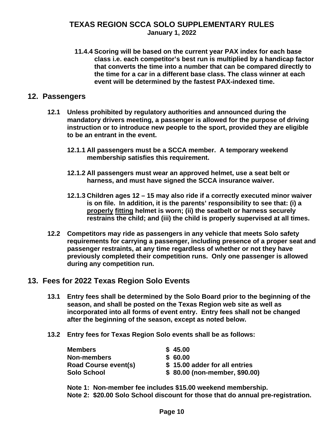**11.4.4 Scoring will be based on the current year PAX index for each base class i.e. each competitor's best run is multiplied by a handicap factor that converts the time into a number that can be compared directly to the time for a car in a different base class. The class winner at each event will be determined by the fastest PAX-indexed time.** 

### **12. Passengers**

- **12.1 Unless prohibited by regulatory authorities and announced during the mandatory drivers meeting, a passenger is allowed for the purpose of driving instruction or to introduce new people to the sport, provided they are eligible to be an entrant in the event.** 
	- **12.1.1 All passengers must be a SCCA member. A temporary weekend membership satisfies this requirement.**
	- **12.1.2 All passengers must wear an approved helmet, use a seat belt or harness, and must have signed the SCCA insurance waiver.**
	- **12.1.3 Children ages 12 15 may also ride if a correctly executed minor waiver is on file. In addition, it is the parents' responsibility to see that: (i) a properly fitting helmet is worn; (ii) the seatbelt or harness securely restrains the child; and (iii) the child is properly supervised at all times.**
- **12.2 Competitors may ride as passengers in any vehicle that meets Solo safety requirements for carrying a passenger, including presence of a proper seat and passenger restraints, at any time regardless of whether or not they have previously completed their competition runs. Only one passenger is allowed during any competition run.**

#### **13. Fees for 2022 Texas Region Solo Events**

- **13.1 Entry fees shall be determined by the Solo Board prior to the beginning of the season, and shall be posted on the Texas Region web site as well as incorporated into all forms of event entry. Entry fees shall not be changed after the beginning of the season, except as noted below.**
- **13.2 Entry fees for Texas Region Solo events shall be as follows:**

| <b>Members</b>       | \$45.00                       |
|----------------------|-------------------------------|
| Non-members          | \$ 60.00                      |
| Road Course event(s) | \$15.00 adder for all entries |
| <b>Solo School</b>   | \$80.00 (non-member, \$90.00) |

**Note 1: Non-member fee includes \$15.00 weekend membership. Note 2: \$20.00 Solo School discount for those that do annual pre-registration.**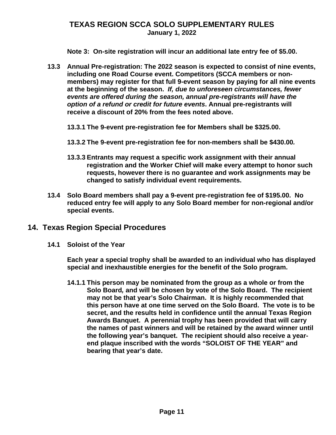**Note 3: On-site registration will incur an additional late entry fee of \$5.00.** 

- **13.3 Annual Pre-registration: The 2022 season is expected to consist of nine events, including one Road Course event. Competitors (SCCA members or nonmembers) may register for that full 9-event season by paying for all nine events at the beginning of the season.** *If, due to unforeseen circumstances, fewer events are offered during the season, annual pre-registrants will have the option of a refund or credit for future events***. Annual pre-registrants will receive a discount of 20% from the fees noted above.** 
	- **13.3.1 The 9-event pre-registration fee for Members shall be \$325.00.**
	- **13.3.2 The 9-event pre-registration fee for non-members shall be \$430.00***.*
	- **13.3.3 Entrants may request a specific work assignment with their annual registration and the Worker Chief will make every attempt to honor such requests, however there is no guarantee and work assignments may be changed to satisfy individual event requirements.**
- **13.4 Solo Board members shall pay a 9-event pre-registration fee of \$195.00. No reduced entry fee will apply to any Solo Board member for non-regional and/or special events.**

#### **14. Texas Region Special Procedures**

**14.1 Soloist of the Year** 

**Each year a special trophy shall be awarded to an individual who has displayed special and inexhaustible energies for the benefit of the Solo program.** 

**14.1.1 This person may be nominated from the group as a whole or from the Solo Board***,* **and will be chosen by vote of the Solo Board. The recipient may not be that year's Solo Chairman. It is highly recommended that this person have at one time served on the Solo Board. The vote is to be secret, and the results held in confidence until the annual Texas Region Awards Banquet. A perennial trophy has been provided that will carry the names of past winners and will be retained by the award winner until the following year's banquet. The recipient should also receive a yearend plaque inscribed with the words "SOLOIST OF THE YEAR" and bearing that year's date.**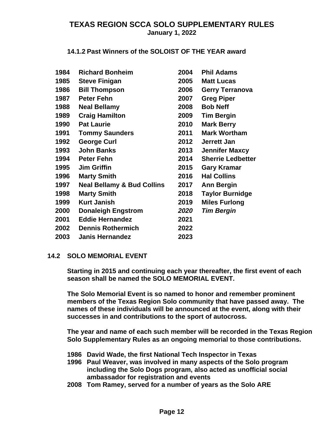#### **14.1.2 Past Winners of the SOLOIST OF THE YEAR award**

| 1984 | <b>Richard Bonheim</b>                | 2004 | <b>Phil Adams</b>        |
|------|---------------------------------------|------|--------------------------|
| 1985 | <b>Steve Finigan</b>                  | 2005 | <b>Matt Lucas</b>        |
| 1986 | <b>Bill Thompson</b>                  | 2006 | <b>Gerry Terranova</b>   |
| 1987 | <b>Peter Fehn</b>                     | 2007 | <b>Greg Piper</b>        |
| 1988 | <b>Neal Bellamy</b>                   | 2008 | <b>Bob Neff</b>          |
| 1989 | <b>Craig Hamilton</b>                 | 2009 | <b>Tim Bergin</b>        |
| 1990 | <b>Pat Laurie</b>                     | 2010 | <b>Mark Berry</b>        |
| 1991 | <b>Tommy Saunders</b>                 | 2011 | <b>Mark Wortham</b>      |
| 1992 | <b>George Curl</b>                    | 2012 | <b>Jerrett Jan</b>       |
| 1993 | <b>John Banks</b>                     | 2013 | <b>Jennifer Maxcy</b>    |
| 1994 | <b>Peter Fehn</b>                     | 2014 | <b>Sherrie Ledbetter</b> |
| 1995 | <b>Jim Griffin</b>                    | 2015 | <b>Gary Kramar</b>       |
| 1996 | <b>Marty Smith</b>                    | 2016 | <b>Hal Collins</b>       |
| 1997 | <b>Neal Bellamy &amp; Bud Collins</b> | 2017 | <b>Ann Bergin</b>        |
| 1998 | <b>Marty Smith</b>                    | 2018 | <b>Taylor Burnidge</b>   |
| 1999 | <b>Kurt Janish</b>                    | 2019 | <b>Miles Furlong</b>     |
| 2000 | <b>Donaleigh Engstrom</b>             | 2020 | <b>Tim Bergin</b>        |
| 2001 | <b>Eddie Hernandez</b>                | 2021 |                          |
| 2002 | <b>Dennis Rothermich</b>              | 2022 |                          |
| 2003 | <b>Janis Hernandez</b>                | 2023 |                          |

#### **14.2 SOLO MEMORIAL EVENT**

**Starting in 2015 and continuing each year thereafter, the first event of each season shall be named the SOLO MEMORIAL EVENT.** 

**The Solo Memorial Event is so named to honor and remember prominent members of the Texas Region Solo community that have passed away. The names of these individuals will be announced at the event, along with their successes in and contributions to the sport of autocross.** 

**The year and name of each such member will be recorded in the Texas Region Solo Supplementary Rules as an ongoing memorial to those contributions.** 

- **1986 David Wade, the first National Tech Inspector in Texas**
- **1996 Paul Weaver, was involved in many aspects of the Solo program including the Solo Dogs program, also acted as unofficial social ambassador for registration and events**
- **2008 Tom Ramey, served for a number of years as the Solo ARE**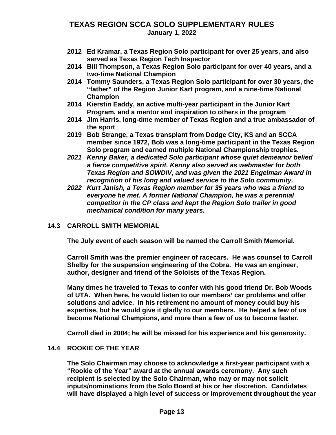- **2012 Ed Kramar, a Texas Region Solo participant for over 25 years, and also served as Texas Region Tech Inspector**
- **2014 Bill Thompson, a Texas Region Solo participant for over 40 years, and a two-time National Champion**
- **2014 Tommy Saunders, a Texas Region Solo participant for over 30 years, the "father" of the Region Junior Kart program, and a nine-time National Champion**
- **2014 Kierstin Eaddy, an active multi-year participant in the Junior Kart Program, and a mentor and inspiration to others in the program**
- **2014 Jim Harris, long-time member of Texas Region and a true ambassador of the sport**
- **2019 Bob Strange, a Texas transplant from Dodge City, KS and an SCCA member since 1972, Bob was a long-time participant in the Texas Region Solo program and earned multiple National Championship trophies.**
- *2021 Kenny Baker, a dedicated Solo participant whose quiet demeanor belied a fierce competitive spirit. Kenny also served as webmaster for both Texas Region and SOWDIV, and was given the 2021 Engelman Award in recognition of his long and valued service to the Solo community.*
- *2022 Kurt Janish, a Texas Region member for 35 years who was a friend to everyone he met. A former National Champion, he was a perennial competitor in the CP class and kept the Region Solo trailer in good mechanical condition for many years.*

#### **14.3 CARROLL SMITH MEMORIAL**

**The July event of each season will be named the Carroll Smith Memorial.** 

**Carroll Smith was the premier engineer of racecars. He was counsel to Carroll Shelby for the suspension engineering of the Cobra. He was an engineer, author, designer and friend of the Soloists of the Texas Region.** 

**Many times he traveled to Texas to confer with his good friend Dr. Bob Woods of UTA. When here, he would listen to our members' car problems and offer solutions and advice. In his retirement no amount of money could buy his expertise, but he would give it gladly to our members. He helped a few of us become National Champions, and more than a few of us to become faster.** 

**Carroll died in 2004; he will be missed for his experience and his generosity.** 

#### **14.4 ROOKIE OF THE YEAR**

**The Solo Chairman may choose to acknowledge a first-year participant with a "Rookie of the Year" award at the annual awards ceremony. Any such recipient is selected by the Solo Chairman, who may or may not solicit inputs/nominations from the Solo Board at his or her discretion. Candidates will have displayed a high level of success or improvement throughout the year**